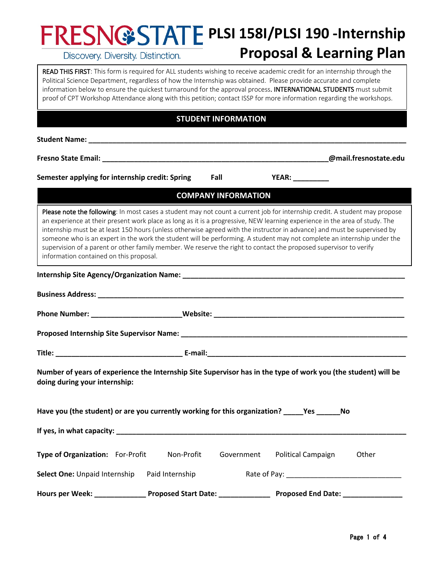# **PLSI 158I/PLSI 190 -Internship**

Discovery. Diversity. Distinction.

# **Proposal & Learning Plan**

**READ THIS FIRST**: This form is required for ALL students wishing to receive academic credit for an internship through the<br>Political Science Department, regardless of how the Internship was obtained. Please provide accurat Political Science Department, regardless of how the Internship was obtained. Please provide accurate and complete information below to ensure the quickest turnaround for the approval process. INTERNATIONAL STUDENTS must submit proof of CPT Workshop Attendance along with this petition; contact ISSP for more information regarding the workshops.

# **STUDENT INFORMATION**

**Student Name: \_\_\_\_\_\_\_\_\_\_\_\_\_\_\_\_\_\_\_\_\_\_\_\_\_\_\_\_\_\_\_\_\_\_\_\_\_\_\_\_\_\_\_\_\_\_\_\_\_\_\_\_\_\_\_\_\_\_\_\_\_\_\_\_\_\_\_\_\_\_\_\_\_\_\_\_\_\_\_\_**

**Fresno State Email: \_\_\_\_\_\_\_\_\_\_\_\_\_\_\_\_\_\_\_\_\_\_\_\_\_\_\_\_\_\_\_\_\_\_\_\_\_\_\_\_\_\_\_\_\_\_\_\_\_\_\_\_\_\_\_\_\_@mail.fresnostate.edu**

Semester applying for internship credit: Spring Fall **Fig. 18 YEAR:** WEAR:

**COMPANY INFORMATION**

Please note the following: In most cases a student may not count a current job for internship credit. A student may propose an experience at their present work place as long as it is a progressive, NEW learning experience in the area of study. The internship must be at least 150 hours (unless otherwise agreed with the instructor in advance) and must be supervised by someone who is an expert in the work the student will be performing. A student may not complete an internship under the supervision of a parent or other family member. We reserve the right to contact the proposed supervisor to verify information contained on this proposal.

#### **Internship Site Agency/Organization Name: \_\_\_\_\_\_\_\_\_\_\_\_\_\_\_\_\_\_\_\_\_\_\_\_\_\_\_\_\_\_\_\_\_\_\_\_\_\_\_\_\_\_\_\_\_\_\_\_\_\_\_\_\_\_\_\_**

| Number of years of experience the Internship Site Supervisor has in the type of work you (the student) will be<br>doing during your internship: |                                                                                                                      |  |  |  |  |
|-------------------------------------------------------------------------------------------------------------------------------------------------|----------------------------------------------------------------------------------------------------------------------|--|--|--|--|
| Have you (the student) or are you currently working for this organization? _____Yes ______No                                                    |                                                                                                                      |  |  |  |  |
|                                                                                                                                                 |                                                                                                                      |  |  |  |  |
| Type of Organization: For-Profit Non-Profit                                                                                                     | Government Political Campaign<br>Other                                                                               |  |  |  |  |
|                                                                                                                                                 | Select One: Unpaid Internship Paid Internship Rate of Pay: ______________________                                    |  |  |  |  |
|                                                                                                                                                 | Hours per Week: ____________________Proposed Start Date: ________________________ Proposed End Date: _______________ |  |  |  |  |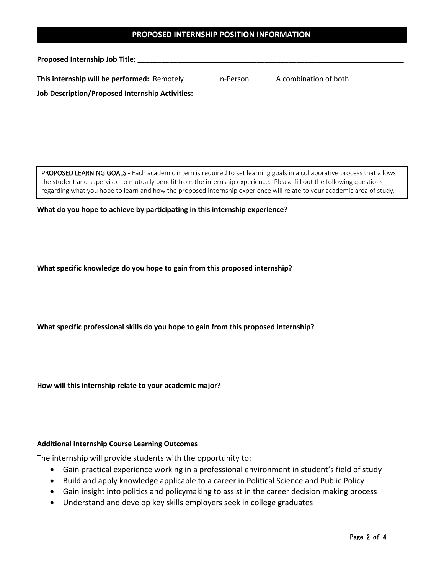### **PROPOSED INTERNSHIP POSITION INFORMATION**

**Proposed Internship Job Title: \_\_\_\_\_\_\_\_\_\_\_\_\_\_\_\_\_\_\_\_\_\_\_\_\_\_\_\_\_\_\_\_\_\_\_\_\_\_\_\_\_\_\_\_\_\_\_\_\_\_\_\_\_\_\_\_\_\_\_\_\_\_\_\_\_\_\_**

| This internship will be performed: Remotely<br>A combination of both<br>In-Person |  |
|-----------------------------------------------------------------------------------|--|
|-----------------------------------------------------------------------------------|--|

**Job Description/Proposed Internship Activities:**

PROPOSED LEARNING GOALS - Each academic intern is required to set learning goals in a collaborative process that allows the student and supervisor to mutually benefit from the internship experience. Please fill out the following questions regarding what you hope to learn and how the proposed internship experience will relate to your academic area of study.

**What do you hope to achieve by participating in this internship experience?**

**What specific knowledge do you hope to gain from this proposed internship?**

**What specific professional skills do you hope to gain from this proposed internship?**

**How will this internship relate to your academic major?**

#### **Additional Internship Course Learning Outcomes**

The internship will provide students with the opportunity to:

- Gain practical experience working in a professional environment in student's field of study
- Build and apply knowledge applicable to a career in Political Science and Public Policy
- Gain insight into politics and policymaking to assist in the career decision making process
- Understand and develop key skills employers seek in college graduates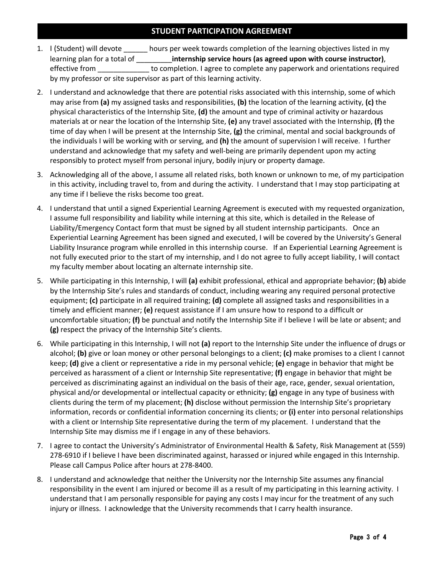# **STUDENT PARTICIPATION AGREEMENT**

- 1. I (Student) will devote \_\_\_\_\_\_ hours per week towards completion of the learning objectives listed in my learning plan for a total of \_\_\_\_\_\_\_\_\_**internship service hours (as agreed upon with course instructor)**, effective from \_\_\_\_\_\_\_\_\_\_\_\_\_ to completion. I agree to complete any paperwork and orientations required by my professor or site supervisor as part of this learning activity.
- 2. I understand and acknowledge that there are potential risks associated with this internship, some of which may arise from **(a)** my assigned tasks and responsibilities, **(b)** the location of the learning activity, **(c)** the physical characteristics of the Internship Site, **(d)** the amount and type of criminal activity or hazardous materials at or near the location of the Internship Site, **(e)** any travel associated with the Internship, **(f)** the time of day when I will be present at the Internship Site, **(g)** the criminal, mental and social backgrounds of the individuals I will be working with or serving, and **(h)** the amount of supervision I will receive. I further understand and acknowledge that my safety and well-being are primarily dependent upon my acting responsibly to protect myself from personal injury, bodily injury or property damage.
- 3. Acknowledging all of the above, I assume all related risks, both known or unknown to me, of my participation in this activity, including travel to, from and during the activity. I understand that I may stop participating at any time if I believe the risks become too great.
- 4. I understand that until a signed Experiential Learning Agreement is executed with my requested organization, I assume full responsibility and liability while interning at this site, which is detailed in the Release of Liability/Emergency Contact form that must be signed by all student internship participants. Once an Experiential Learning Agreement has been signed and executed, I will be covered by the University's General Liability Insurance program while enrolled in this internship course. If an Experiential Learning Agreement is not fully executed prior to the start of my internship, and I do not agree to fully accept liability, I will contact my faculty member about locating an alternate internship site.
- 5. While participating in this Internship, I will **(a)** exhibit professional, ethical and appropriate behavior; **(b)** abide by the Internship Site's rules and standards of conduct, including wearing any required personal protective equipment; **(c)** participate in all required training; **(d)** complete all assigned tasks and responsibilities in a timely and efficient manner; **(e)** request assistance if I am unsure how to respond to a difficult or uncomfortable situation; **(f)** be punctual and notify the Internship Site if I believe I will be late or absent; and **(g)** respect the privacy of the Internship Site's clients.
- 6. While participating in this Internship, I will not **(a)** report to the Internship Site under the influence of drugs or alcohol; **(b)** give or loan money or other personal belongings to a client; **(c)** make promises to a client I cannot keep; **(d)** give a client or representative a ride in my personal vehicle; **(e)** engage in behavior that might be perceived as harassment of a client or Internship Site representative; **(f)** engage in behavior that might be perceived as discriminating against an individual on the basis of their age, race, gender, sexual orientation, physical and/or developmental or intellectual capacity or ethnicity; **(g)** engage in any type of business with clients during the term of my placement; **(h)** disclose without permission the Internship Site's proprietary information, records or confidential information concerning its clients; or **(i)** enter into personal relationships with a client or Internship Site representative during the term of my placement. I understand that the Internship Site may dismiss me if I engage in any of these behaviors.
- 7. I agree to contact the University's Administrator of Environmental Health & Safety, Risk Management at (559) 278-6910 if I believe I have been discriminated against, harassed or injured while engaged in this Internship. Please call Campus Police after hours at 278-8400.
- 8. I understand and acknowledge that neither the University nor the Internship Site assumes any financial responsibility in the event I am injured or become ill as a result of my participating in this learning activity. I understand that I am personally responsible for paying any costs I may incur for the treatment of any such injury or illness. I acknowledge that the University recommends that I carry health insurance.